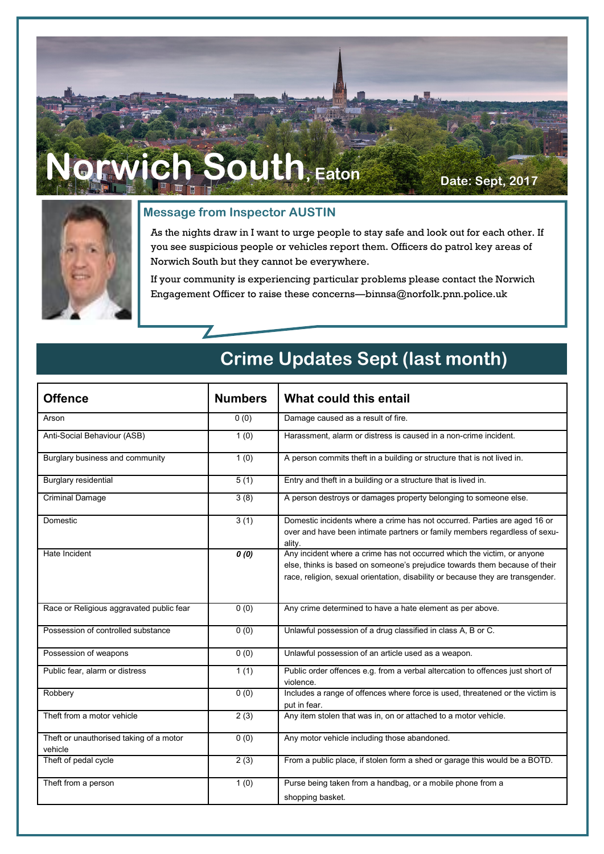# $Mich$  South, Eaton **Date: Sept, 2017**



#### **Message from Inspector AUSTIN**

As the nights draw in I want to urge people to stay safe and look out for each other. If you see suspicious people or vehicles report them. Officers do patrol key areas of Norwich South but they cannot be everywhere.

If your community is experiencing particular problems please contact the Norwich Engagement Officer to raise these concerns—binnsa@norfolk.pnn.police.uk

### **Offence Numbers What could this entail** Arson **b**  $(0, 0)$  Damage caused as a result of fire. Anti-Social Behaviour (ASB) 1 (0) Harassment, alarm or distress is caused in a non-crime incident. Burglary business and community 1 (0) A person commits theft in a building or structure that is not lived in. Burglary residential **Fig. 2** (1) Entry and theft in a building or a structure that is lived in. Criminal Damage Criminal Damage **3** (8) A person destroys or damages property belonging to someone else. Domestic 2 (1) Domestic incidents where a crime has not occurred. Parties are aged 16 or over and have been intimate partners or family members regardless of sexuality. Hate Incident **1 a 1 a 1 a 1 a 1 a 1 a 1 a 1 a 1 a 1 a 1 a 1 a 1 a 1 a 1 a 1 a 1 a 1 a 1 a 1 a 1 a 1 a 1 a 1 a 1 a 1 a** else, thinks is based on someone's prejudice towards them because of their race, religion, sexual orientation, disability or because they are transgender. Race or Religious aggravated public fear 0 (0) Any crime determined to have a hate element as per above. Possession of controlled substance  $\begin{bmatrix} 0 & 0 \end{bmatrix}$  Unlawful possession of a drug classified in class A, B or C. Possession of weapons 0 (0) Unlawful possession of an article used as a weapon. Public fear, alarm or distress 1 (1) 1 (1) Public order offences e.g. from a verbal altercation to offences just short of violence. Robbery 0 (0) Includes a range of offences where force is used, threatened or the victim is put in fear. Theft from a motor vehicle 2 (3) Any item stolen that was in, on or attached to a motor vehicle. Theft or unauthorised taking of a motor vehicle 0 (0) Any motor vehicle including those abandoned. Theft of pedal cycle 2 (3) Theft of pedal cycle 2 (3) Theft of pedal cycle a BOTD. Theft from a person **1** (0) Purse being taken from a handbag, or a mobile phone from a shopping basket.

### **Crime Updates Sept (last month)**